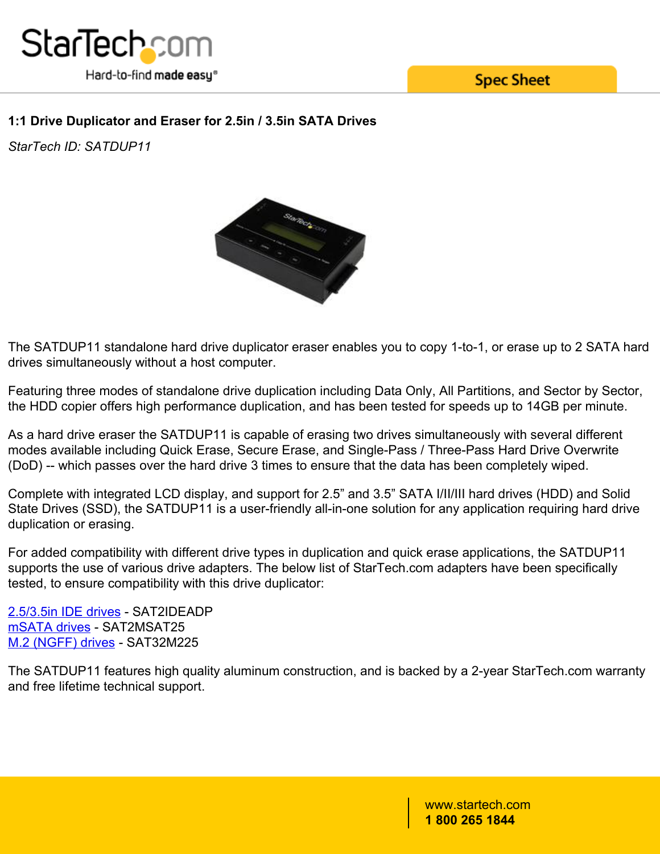

**Spec Sheet** 

## **1:1 Drive Duplicator and Eraser for 2.5in / 3.5in SATA Drives**

*StarTech ID: SATDUP11*



The SATDUP11 standalone hard drive duplicator eraser enables you to copy 1-to-1, or erase up to 2 SATA hard drives simultaneously without a host computer.

Featuring three modes of standalone drive duplication including Data Only, All Partitions, and Sector by Sector, the HDD copier offers high performance duplication, and has been tested for speeds up to 14GB per minute.

As a hard drive eraser the SATDUP11 is capable of erasing two drives simultaneously with several different modes available including Quick Erase, Secure Erase, and Single-Pass / Three-Pass Hard Drive Overwrite (DoD) -- which passes over the hard drive 3 times to ensure that the data has been completely wiped.

Complete with integrated LCD display, and support for 2.5" and 3.5" SATA I/II/III hard drives (HDD) and Solid State Drives (SSD), the SATDUP11 is a user-friendly all-in-one solution for any application requiring hard drive duplication or erasing.

For added compatibility with different drive types in duplication and quick erase applications, the SATDUP11 supports the use of various drive adapters. The below list of StarTech.com adapters have been specifically tested, to ensure compatibility with this drive duplicator:

[2.5/3.5in IDE drives](/HDD/Adapters/SATA-to-IDE-Hard-Drive-Adapter-for-HDD-Docks~SAT2IDEADP) - SAT2IDEADP [mSATA drives](/HDD/Adapters/25in-SATA-to-Mini-SATA-SSD-Adapter-Enclosure~SAT2MSAT25) - SAT2MSAT25 [M.2 \(NGFF\) drives](/HDD/Adapters/M-2-NGFF-SSD-to-2-5in-SATA-Adapter~SAT32M225) - SAT32M225

The SATDUP11 features high quality aluminum construction, and is backed by a 2-year StarTech.com warranty and free lifetime technical support.

> www.startech.com **1 800 265 1844**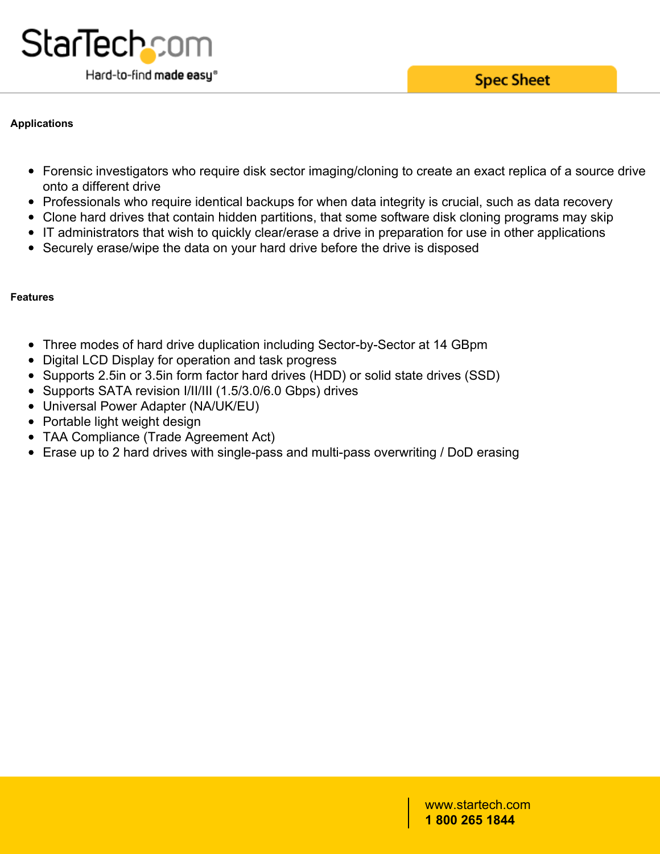

#### **Applications**

- Forensic investigators who require disk sector imaging/cloning to create an exact replica of a source drive onto a different drive
- Professionals who require identical backups for when data integrity is crucial, such as data recovery
- Clone hard drives that contain hidden partitions, that some software disk cloning programs may skip
- IT administrators that wish to quickly clear/erase a drive in preparation for use in other applications
- Securely erase/wipe the data on your hard drive before the drive is disposed

## **Features**

- Three modes of hard drive duplication including Sector-by-Sector at 14 GBpm
- Digital LCD Display for operation and task progress
- Supports 2.5in or 3.5in form factor hard drives (HDD) or solid state drives (SSD)
- Supports SATA revision I/II/III (1.5/3.0/6.0 Gbps) drives
- Universal Power Adapter (NA/UK/EU)
- Portable light weight design
- TAA Compliance (Trade Agreement Act)
- Erase up to 2 hard drives with single-pass and multi-pass overwriting / DoD erasing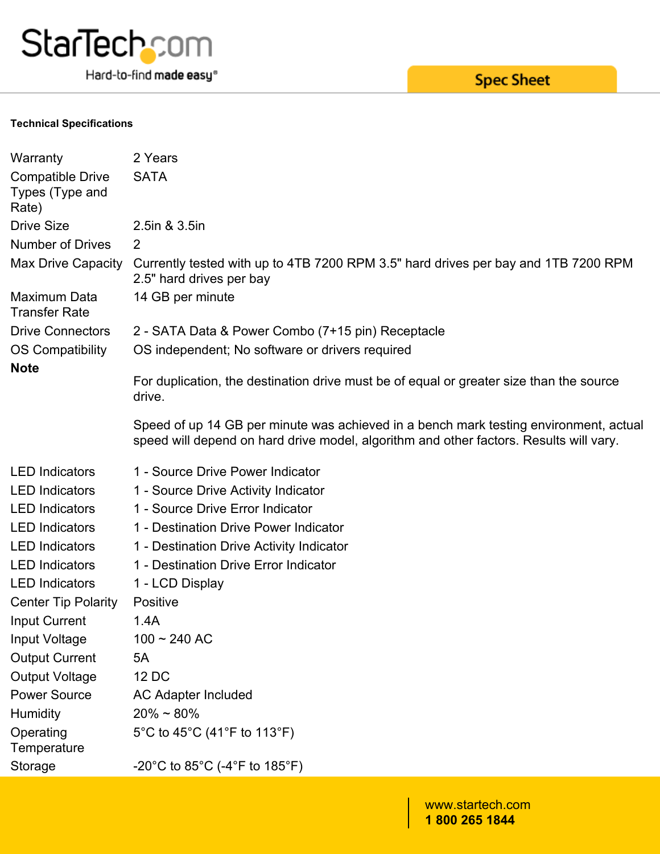

Hard-to-find made easy®

# **Spec Sheet**

#### **Technical Specifications**

| Warranty                                            | 2 Years                                                                                                                                                                         |  |  |
|-----------------------------------------------------|---------------------------------------------------------------------------------------------------------------------------------------------------------------------------------|--|--|
| <b>Compatible Drive</b><br>Types (Type and<br>Rate) | <b>SATA</b>                                                                                                                                                                     |  |  |
| <b>Drive Size</b>                                   | 2.5in & 3.5in                                                                                                                                                                   |  |  |
| <b>Number of Drives</b>                             | $\mathbf{2}$                                                                                                                                                                    |  |  |
| <b>Max Drive Capacity</b>                           | Currently tested with up to 4TB 7200 RPM 3.5" hard drives per bay and 1TB 7200 RPM<br>2.5" hard drives per bay                                                                  |  |  |
| Maximum Data<br><b>Transfer Rate</b>                | 14 GB per minute                                                                                                                                                                |  |  |
| <b>Drive Connectors</b>                             | 2 - SATA Data & Power Combo (7+15 pin) Receptacle                                                                                                                               |  |  |
| OS Compatibility                                    | OS independent; No software or drivers required                                                                                                                                 |  |  |
| <b>Note</b>                                         | For duplication, the destination drive must be of equal or greater size than the source<br>drive.                                                                               |  |  |
|                                                     | Speed of up 14 GB per minute was achieved in a bench mark testing environment, actual<br>speed will depend on hard drive model, algorithm and other factors. Results will vary. |  |  |
|                                                     |                                                                                                                                                                                 |  |  |
| <b>LED</b> Indicators                               | 1 - Source Drive Power Indicator                                                                                                                                                |  |  |
| <b>LED</b> Indicators                               | 1 - Source Drive Activity Indicator                                                                                                                                             |  |  |
| <b>LED</b> Indicators                               | 1 - Source Drive Error Indicator                                                                                                                                                |  |  |
| <b>LED Indicators</b>                               | 1 - Destination Drive Power Indicator                                                                                                                                           |  |  |
| <b>LED</b> Indicators                               | 1 - Destination Drive Activity Indicator                                                                                                                                        |  |  |
| <b>LED</b> Indicators                               | 1 - Destination Drive Error Indicator                                                                                                                                           |  |  |
| <b>LED</b> Indicators                               | 1 - LCD Display                                                                                                                                                                 |  |  |
| <b>Center Tip Polarity</b>                          | Positive                                                                                                                                                                        |  |  |
| <b>Input Current</b>                                | 1.4A                                                                                                                                                                            |  |  |
| Input Voltage                                       | $100 \sim 240$ AC                                                                                                                                                               |  |  |
| <b>Output Current</b>                               | 5A                                                                                                                                                                              |  |  |
|                                                     | 12 DC                                                                                                                                                                           |  |  |
| <b>Output Voltage</b><br><b>Power Source</b>        | AC Adapter Included                                                                                                                                                             |  |  |
| Humidity                                            | $20\% \sim 80\%$                                                                                                                                                                |  |  |
| Operating<br>Temperature                            | 5°C to 45°C (41°F to 113°F)                                                                                                                                                     |  |  |

www.startech.com **1 800 265 1844**